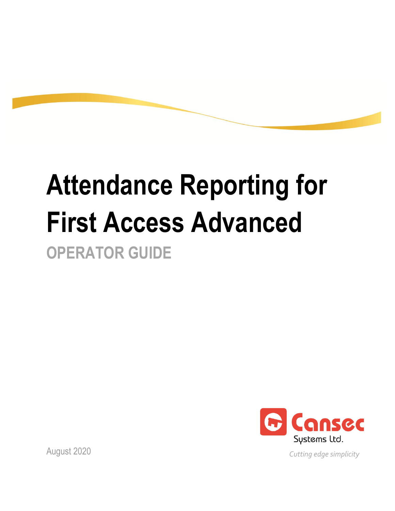# **Attendance Reporting for First Access Advanced OPERATOR GUIDE**



August 2020

*Cutting edge simplicity*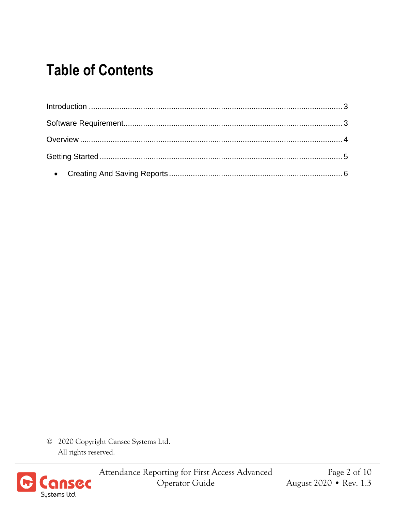#### **Table of Contents**

© 2020 Copyright Cansec Systems Ltd. All rights reserved.



Attendance Reporting for First Access Advanced Operator Guide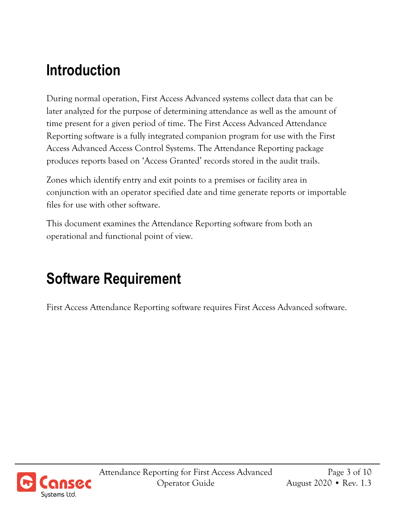#### <span id="page-2-0"></span>**Introduction**

During normal operation, First Access Advanced systems collect data that can be later analyzed for the purpose of determining attendance as well as the amount of time present for a given period of time. The First Access Advanced Attendance Reporting software is a fully integrated companion program for use with the First Access Advanced Access Control Systems. The Attendance Reporting package produces reports based on 'Access Granted' records stored in the audit trails.

Zones which identify entry and exit points to a premises or facility area in conjunction with an operator specified date and time generate reports or importable files for use with other software.

This document examines the Attendance Reporting software from both an operational and functional point of view.

## <span id="page-2-1"></span>**Software Requirement**

First Access Attendance Reporting software requires First Access Advanced software.

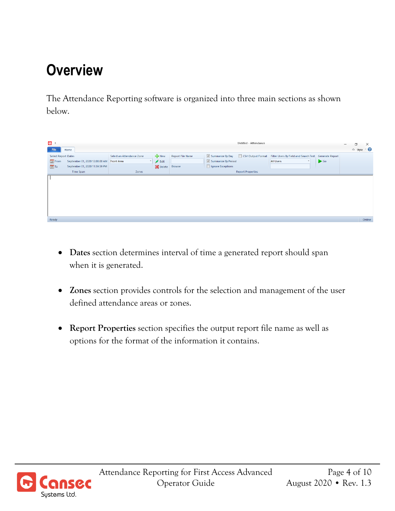## <span id="page-3-0"></span>**Overview**

The Attendance Reporting software is organized into three main sections as shown below.

| $\bullet$                  |                                           |                           |                            |                         |                     | Untitled - Attendance    |                                                                             |                     | O<br>$\overline{\phantom{0}}$ | $\times$    |
|----------------------------|-------------------------------------------|---------------------------|----------------------------|-------------------------|---------------------|--------------------------|-----------------------------------------------------------------------------|---------------------|-------------------------------|-------------|
| File                       | Home                                      |                           |                            |                         |                     |                          |                                                                             |                     |                               | △ Style 1 ● |
| <b>Select Report Dates</b> |                                           | Select an Attendance Zone | New                        | <b>Report File Name</b> | Summarize By Day    |                          | CSV Output Format   Filter Users By Field and Search Text   Generate Report |                     |                               |             |
| 23 From                    | September 01, 2020 12:00:00 AM Front Area |                           | $\blacktriangleright$ Edit |                         | Summarize By Period |                          | <b>All Users</b>                                                            | $\triangleright$ Go |                               |             |
| $23$ To                    | September 01, 2020 11:59:59 PM            |                           | Delete                     | Browse                  | Ignore Exceptions   |                          |                                                                             |                     |                               |             |
|                            | Time Span                                 | Zones                     |                            |                         |                     | <b>Report Properties</b> |                                                                             |                     |                               |             |
|                            |                                           |                           |                            |                         |                     |                          |                                                                             |                     |                               |             |
| Ready                      |                                           |                           |                            |                         |                     |                          |                                                                             |                     |                               | Online      |

- **Dates** section determines interval of time a generated report should span when it is generated.
- **Zones** section provides controls for the selection and management of the user defined attendance areas or zones.
- **Report Properties** section specifies the output report file name as well as options for the format of the information it contains.

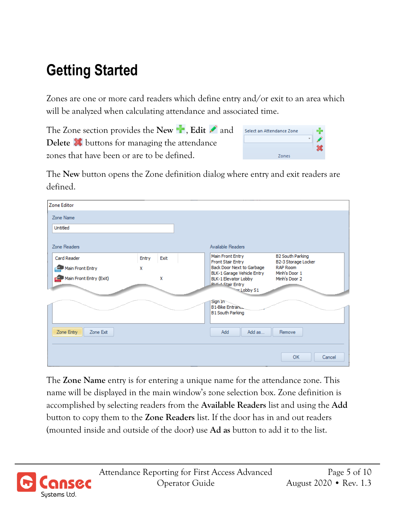## <span id="page-4-0"></span>**Getting Started**

Zones are one or more card readers which define entry and/or exit to an area which will be analyzed when calculating attendance and associated time.

The Zone section provides the **New <sup>1</sup>**, **Edit** and Select an Attendance Zone **Delete i**buttons for managing the attendance zones that have been or are to be defined. Zones

The **New** button opens the Zone definition dialog where entry and exit readers are defined.

| <b>Zone Editor</b>      |       |      |                                                                                                |
|-------------------------|-------|------|------------------------------------------------------------------------------------------------|
| Zone Name               |       |      |                                                                                                |
| Untitled                |       |      |                                                                                                |
| Zone Readers            |       |      | Available Readers                                                                              |
| <b>Card Reader</b>      | Entry | Exit | Main Front Entry<br><b>B2 South Parking</b><br><b>Front Stair Entry</b><br>B2-3 Storage Locker |
| Main Front Entry        | x     |      | Back Door Next to Garbage<br><b>RAP Room</b><br>BLK-1 Garage Vehicle Entry<br>Minh's Door 1    |
| Main Front Entry (Exit) |       | x    | BLK-1 Elevator Lobby<br>Minh's Door 2<br><b>PLK 1 Stair Entry</b>                              |
|                         |       |      | *Lobby S1                                                                                      |
|                         |       |      | Sign In<br><b>B1-Bike Entrance</b><br>u.                                                       |
|                         |       |      | <b>B1 South Parking</b>                                                                        |
| Zone Entry<br>Zone Exit |       |      | Add<br>Add as<br>Remove                                                                        |
|                         |       |      | OK<br>Cancel                                                                                   |

The **Zone Name** entry is for entering a unique name for the attendance zone. This name will be displayed in the main window's zone selection box. Zone definition is accomplished by selecting readers from the **Available Readers** list and using the **Add**  button to copy them to the **Zone Readers** list. If the door has in and out readers (mounted inside and outside of the door) use **Ad as** button to add it to the list.

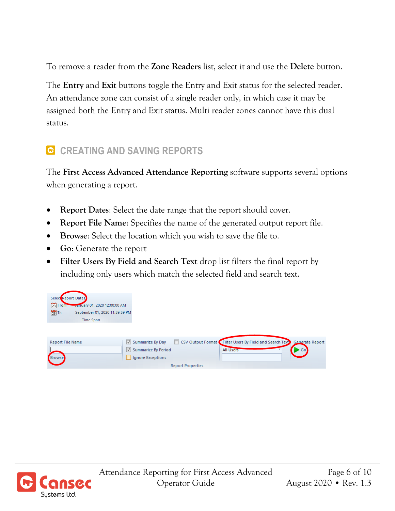To remove a reader from the **Zone Readers** list, select it and use the **Delete** button.

The **Entry** and **Exit** buttons toggle the Entry and Exit status for the selected reader. An attendance zone can consist of a single reader only, in which case it may be assigned both the Entry and Exit status. Multi reader zones cannot have this dual status.

#### <span id="page-5-0"></span>**C** CREATING AND SAVING REPORTS

The **First Access Advanced Attendance Reporting** software supports several options when generating a report.

- **Report Dates**: Select the date range that the report should cover.
- **Report File Name**: Specifies the name of the generated output report file.
- **Browse**: Select the location which you wish to save the file to.
- **Go**: Generate the report
- **Filter Users By Field and Search Text** drop list filters the final report by including only users which match the selected field and search text.

| Select Report Dates<br>23 From<br>January 01, 2020 12:00:00 AM |                                                                                                  |
|----------------------------------------------------------------|--------------------------------------------------------------------------------------------------|
| $23$ To<br>September 01, 2020 11:59:59 PM                      |                                                                                                  |
| <b>Time Span</b>                                               |                                                                                                  |
|                                                                |                                                                                                  |
| <b>Report File Name</b>                                        | CSV Output Format Filter Users By Field and Search Text Generate Report<br>Summarize By Day<br>H |
|                                                                | Summarize By Period<br><b>All Users</b><br>Go                                                    |
| <b>Browse</b>                                                  | Ignore Exceptions                                                                                |
|                                                                | <b>Report Properties</b>                                                                         |

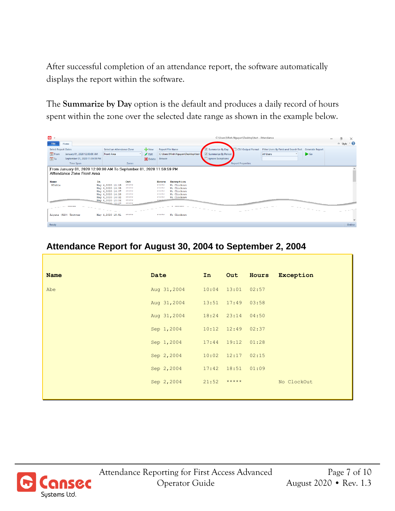After successful completion of an attendance report, the software automatically displays the report within the software.

The **Summarize by Day** option is the default and produces a daily record of hours spent within the zone over the selected date range as shown in the example below.

| $\mathbf{0}$ =                                                                                                                                                   |                                                                                                                                                                   |                                                                                                                                | C:\Users\Minh.Nquyen\Desktop\test - Attendance                                                                                                                                                                               | 同<br>$\times$<br>$\sim$<br>$\infty$ style $\infty$ |
|------------------------------------------------------------------------------------------------------------------------------------------------------------------|-------------------------------------------------------------------------------------------------------------------------------------------------------------------|--------------------------------------------------------------------------------------------------------------------------------|------------------------------------------------------------------------------------------------------------------------------------------------------------------------------------------------------------------------------|----------------------------------------------------|
| File<br>Home<br><b>Select Report Dates</b><br>23 From<br>January 01, 2020 12:00:00 AM<br>$\frac{1}{23}$ To<br>September 01, 2020 11:59:59 PM<br><b>Time Span</b> | Select an Attendance Zone<br><b>Front Area</b><br>Zones                                                                                                           | <b>E</b> New<br><b>Report File Name</b><br>C:\Users\Minh.Nguyen\Desktop\test<br>$\blacktriangleright$ Edit<br>Delete<br>Browse | <b>CSV Output Format</b><br>Filter Users By Field and Search Text   Generate Report<br>V Summarize By Day<br>Summarize By Period<br>$\triangleright$ Go<br><b>All Users</b><br>Ignore Exceptions<br><b>Report Properties</b> |                                                    |
| From January 01, 2020 12:00:00 AM To September 01, 2020 11:59:59 PM<br>Attendance Zone Front Area<br>Name<br>In<br>MCable                                        | Out<br>*****                                                                                                                                                      | Exception<br>Hours<br>No Clockout<br>*****                                                                                     |                                                                                                                                                                                                                              |                                                    |
|                                                                                                                                                                  | May 4,2020 11:19<br>May 4,2020 14:05<br>*****<br>May 4,2020 14:07<br>*****<br>May 4,2020 14:28<br>*****<br>May 4,2020 14:32<br>*****<br>May 6,2020 10:06<br>***** | No Clockout<br>*****<br>No Clockout<br>*****<br>*****<br>No Clockout<br>No Clockout<br>*****<br>3334                           |                                                                                                                                                                                                                              |                                                    |
| ------<br>Aiyana (520) Trotter                                                                                                                                   | mean 10:07<br>*****<br>*****<br>May 4,2020 18:51                                                                                                                  | $- - - - - - - -$<br>*****<br>No Clockout                                                                                      |                                                                                                                                                                                                                              | $\checkmark$                                       |
| Ready                                                                                                                                                            |                                                                                                                                                                   |                                                                                                                                |                                                                                                                                                                                                                              | Online                                             |

#### **Attendance Report for August 30, 2004 to September 2, 2004**

| <b>Name</b> | Date        | In    | Out                     | Hours Exception |
|-------------|-------------|-------|-------------------------|-----------------|
| Abe         | Aug 31,2004 |       | $10:04$ $13:01$ $02:57$ |                 |
|             | Aug 31,2004 |       | 13:51 17:49 03:58       |                 |
|             | Aug 31,2004 |       | 18:24 23:14 04:50       |                 |
|             | Sep 1,2004  |       | $10:12$ $12:49$ $02:37$ |                 |
|             | Sep 1,2004  |       | 17:44 19:12 01:28       |                 |
|             | Sep 2,2004  | 10:02 | $12:17$ 02:15           |                 |
|             | Sep 2, 2004 |       | $17:42$ $18:51$ $01:09$ |                 |
|             | Sep 2,2004  | 21:52 | $***$ * * * *           | No ClockOut     |
|             |             |       |                         |                 |

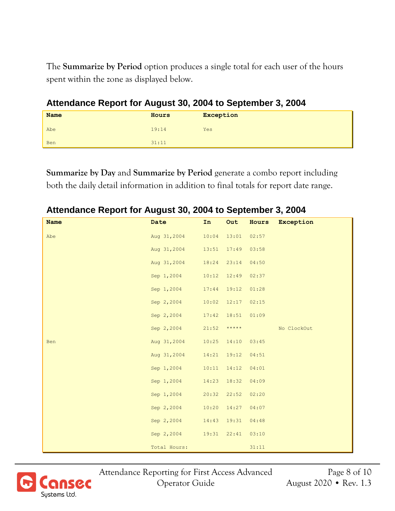The **Summarize by Period** option produces a single total for each user of the hours spent within the zone as displayed below.

| <b>Name</b> | Hours | <b>Exception</b> |  |  |  |
|-------------|-------|------------------|--|--|--|
| Abe         | 19:14 | Yes              |  |  |  |
| Ben         | 31:11 |                  |  |  |  |

**Attendance Report for August 30, 2004 to September 3, 2004**

**Summarize by Day** and **Summarize by Period** generate a combo report including both the daily detail information in addition to final totals for report date range.

| Attendance Report for August 30, 2004 to September 3, 2004 |              |       |               |       |             |
|------------------------------------------------------------|--------------|-------|---------------|-------|-------------|
| <b>Name</b>                                                | Date         | In    | Out           | Hours | Exception   |
| Abe                                                        | Aug 31,2004  | 10:04 | 13:01         | 02:57 |             |
|                                                            | Aug 31,2004  | 13:51 | 17:49         | 03:58 |             |
|                                                            | Aug 31,2004  | 18:24 | 23:14         | 04:50 |             |
|                                                            | Sep 1,2004   | 10:12 | 12:49         | 02:37 |             |
|                                                            | Sep 1,2004   | 17:44 | 19:12         | 01:28 |             |
|                                                            | Sep 2,2004   | 10:02 | 12:17         | 02:15 |             |
|                                                            | Sep 2,2004   | 17:42 | 18:51         | 01:09 |             |
|                                                            | Sep 2,2004   | 21:52 | $***$ * * * * |       | No ClockOut |
| <b>Ben</b>                                                 | Aug 31,2004  | 10:25 | 14:10         | 03:45 |             |
|                                                            | Aug 31,2004  | 14:21 | 19:12         | 04:51 |             |
|                                                            | Sep 1,2004   | 10:11 | 14:12         | 04:01 |             |
|                                                            | Sep 1,2004   | 14:23 | 18:32         | 04:09 |             |
|                                                            | Sep 1,2004   | 20:32 | 22:52         | 02:20 |             |
|                                                            | Sep 2,2004   | 10:20 | 14:27         | 04:07 |             |
|                                                            | Sep 2,2004   | 14:43 | 19:31         | 04:48 |             |
|                                                            | Sep 2,2004   | 19:31 | 22:41         | 03:10 |             |
|                                                            | Total Hours: |       |               | 31:11 |             |



Attendance Reporting for First Access Advanced Page 8 of 10 Operator Guide August 2020 • Rev. 1.3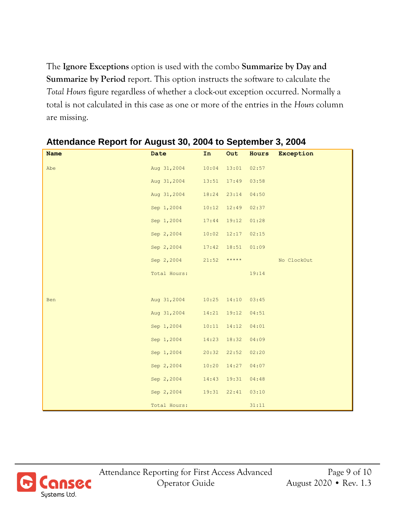The **Ignore Exceptions** option is used with the combo **Summarize by Day and Summarize by Period** report. This option instructs the software to calculate the *Total Hours* figure regardless of whether a clock-out exception occurred. Normally a total is not calculated in this case as one or more of the entries in the *Hours* column are missing.

| <b>Name</b> | Date                          | In    | Out             |       | Hours Exception |
|-------------|-------------------------------|-------|-----------------|-------|-----------------|
| Abe         | Aug 31, 2004 10:04            |       | 13:01           | 02:57 |                 |
|             | Aug 31, 2004 13:51 17:49      |       |                 | 03:58 |                 |
|             | Aug 31, 2004 18:24 23:14      |       |                 | 04:50 |                 |
|             | Sep 1,2004                    |       | $10:12$ $12:49$ | 02:37 |                 |
|             | Sep 1,2004                    | 17:44 | 19:12           | 01:28 |                 |
|             | Sep 2,2004                    |       | $10:02$ $12:17$ | 02:15 |                 |
|             | Sep 2,2004 17:42 18:51 01:09  |       |                 |       |                 |
|             | Sep 2,2004 21:52 *****        |       |                 |       | No ClockOut     |
|             | Total Hours:                  |       |                 | 19:14 |                 |
|             |                               |       |                 |       |                 |
| Ben         | Aug 31,2004 10:25 14:10 03:45 |       |                 |       |                 |
|             | Aug 31, 2004                  |       | $14:21$ $19:12$ | 04:51 |                 |
|             | Sep 1,2004                    | 10:11 | 14:12           | 04:01 |                 |
|             | Sep 1,2004                    | 14:23 | 18:32           | 04:09 |                 |
|             | Sep 1,2004                    |       | $20:32$ $22:52$ | 02:20 |                 |
|             | Sep 2,2004                    |       | $10:20$ $14:27$ | 04:07 |                 |
|             | Sep 2,2004 14:43 19:31 04:48  |       |                 |       |                 |
|             | Sep 2, 2004 19:31 22:41       |       |                 | 03:10 |                 |
|             | Total Hours:                  |       |                 | 31:11 |                 |

#### **Attendance Report for August 30, 2004 to September 3, 2004**